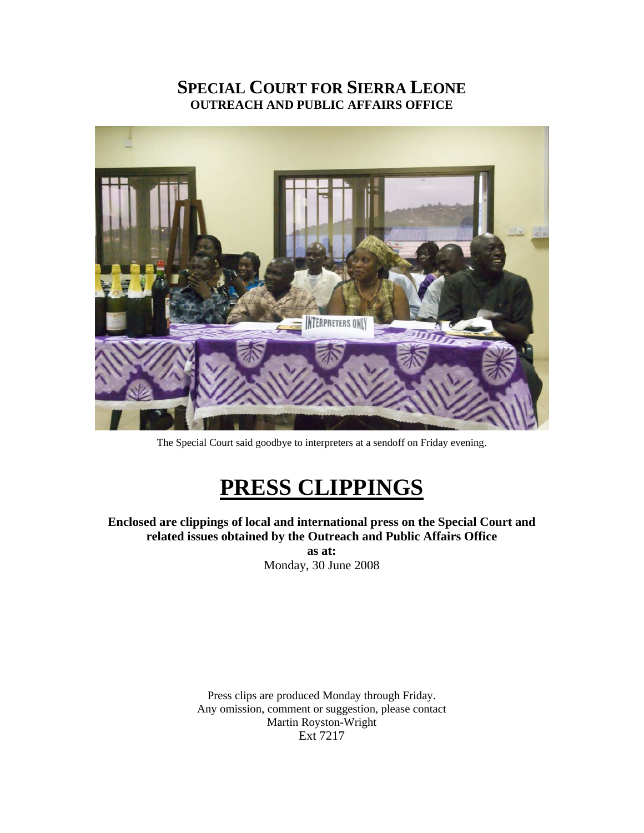## **SPECIAL COURT FOR SIERRA LEONE OUTREACH AND PUBLIC AFFAIRS OFFICE**



The Special Court said goodbye to interpreters at a sendoff on Friday evening.

# **PRESS CLIPPINGS**

**Enclosed are clippings of local and international press on the Special Court and related issues obtained by the Outreach and Public Affairs Office** 

**as at:**  Monday, 30 June 2008

Press clips are produced Monday through Friday. Any omission, comment or suggestion, please contact Martin Royston-Wright Ext 7217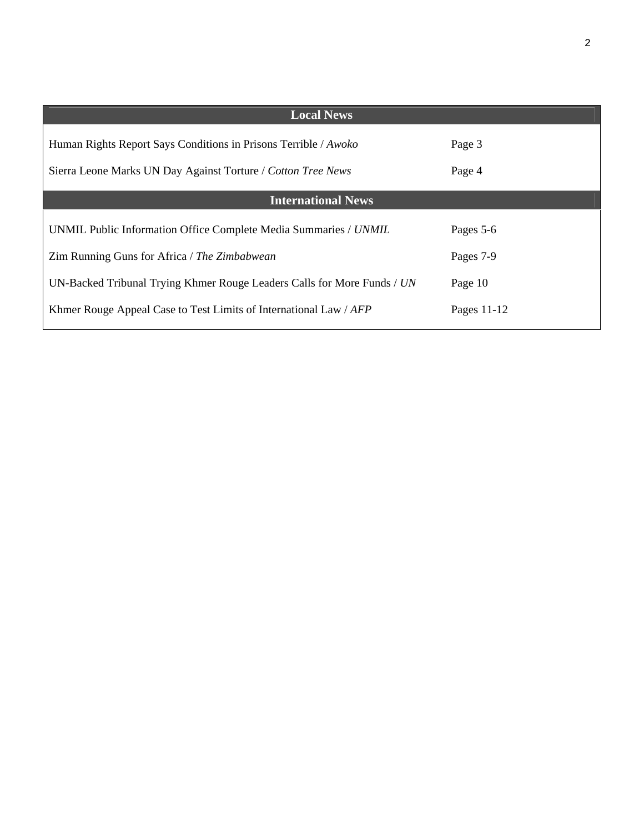| <b>Local News</b>                                                       |               |
|-------------------------------------------------------------------------|---------------|
| Human Rights Report Says Conditions in Prisons Terrible / Awoko         | Page 3        |
| Sierra Leone Marks UN Day Against Torture / Cotton Tree News            | Page 4        |
| <b>International News</b>                                               |               |
| UNMIL Public Information Office Complete Media Summaries / UNMIL        | Pages 5-6     |
| Zim Running Guns for Africa / The Zimbabwean                            | Pages 7-9     |
| UN-Backed Tribunal Trying Khmer Rouge Leaders Calls for More Funds / UN | Page 10       |
| Khmer Rouge Appeal Case to Test Limits of International Law / AFP       | Pages $11-12$ |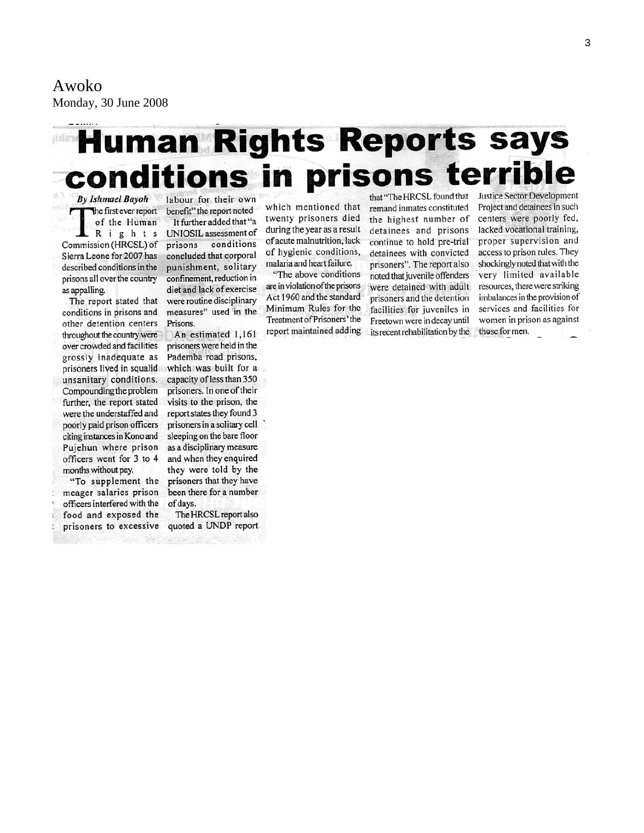Awoko Monday, 30 June 2008

# **Human Rights Reports says** conditions in prisons terrible that "The HRCSL found that

**By Ishmael Bayoh** the first ever report ٢ of the Human Rights Commission (HRCSL) of Sierra Leone for 2007 has described conditions in the prisons all over the country as appalling.

The report stated that conditions in prisons and other detention centers throughout the country were over crowded and facilities grossly inadequate as prisoners lived in squalid which was built for a unsanitary conditions. Compounding the problem further, the report stated were the understaffed and poorly paid prison officers citing instances in Kono and Pujehun where prison officers went for 3 to 4 months without pay.

"To supplement the meager salaries prison officers interfered with the food and exposed the prisoners to excessive quoted a UNDP report.

labour for their own benefit" the report noted It further added that "a UNIOSIL assessment of prisons conditions concluded that corporal punishment, solitary confinement, reduction in diet and lack of exercise were routine disciplinary measures" used in the Prisons.

An estimated 1,161 prisoners were held in the Pademba road prisons, capacity of less than 350 prisoners. In one of their visits to the prison, the report states they found 3 prisoners in a solitary cell sleeping on the bare floor as a disciplinary measure and when they enquired they were told by the prisoners that they have been there for a number of days.

The HRCSL report also

which mentioned that twenty prisoners died during the year as a result of acute malnutrition, lack of hygienic conditions, malaria and heart failure.

"The above conditions are in violation of the prisons Act 1960 and the standard Minimum Rules for the Treatment of Prisoners' the report maintained adding remand inmates constituted the highest number of detainees and prisons continue to hold pre-trial detainees with convicted prisoners". The report also noted that juvenile offenders were detained with adult prisoners and the detention facilities for juveniles in Freetown were in decay until its recent rehabilitation by the **Justice Sector Development** Project and detainees in such centers were poorly fed, lacked vocational training, proper supervision and access to prison rules. They shockingly noted that with the very limited available resources, there were striking imbalances in the provision of services and facilities for women in prison as against those for men.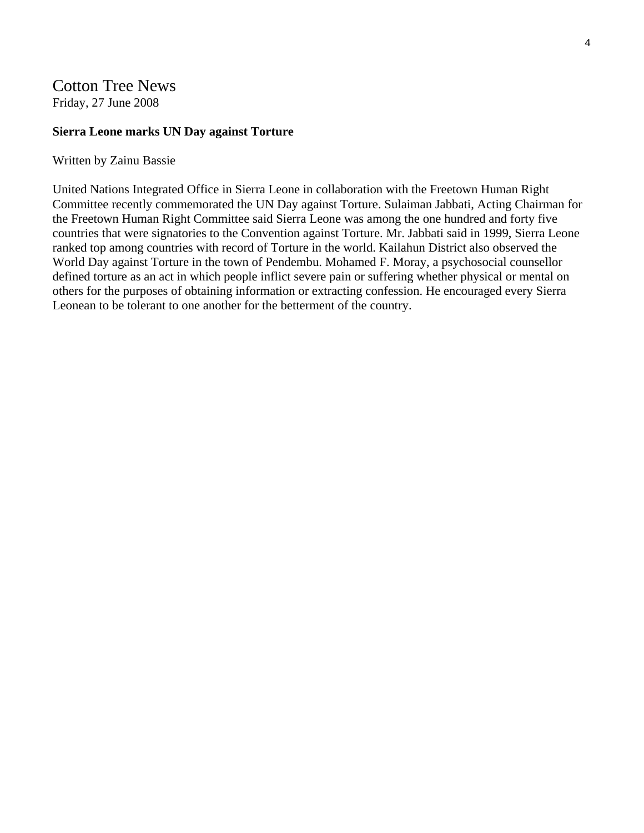## Cotton Tree News Friday, 27 June 2008

#### **Sierra Leone marks UN Day against Torture**

#### Written by Zainu Bassie

United Nations Integrated Office in Sierra Leone in collaboration with the Freetown Human Right Committee recently commemorated the UN Day against Torture. Sulaiman Jabbati, Acting Chairman for the Freetown Human Right Committee said Sierra Leone was among the one hundred and forty five countries that were signatories to the Convention against Torture. Mr. Jabbati said in 1999, Sierra Leone ranked top among countries with record of Torture in the world. Kailahun District also observed the World Day against Torture in the town of Pendembu. Mohamed F. Moray, a psychosocial counsellor defined torture as an act in which people inflict severe pain or suffering whether physical or mental on others for the purposes of obtaining information or extracting confession. He encouraged every Sierra Leonean to be tolerant to one another for the betterment of the country.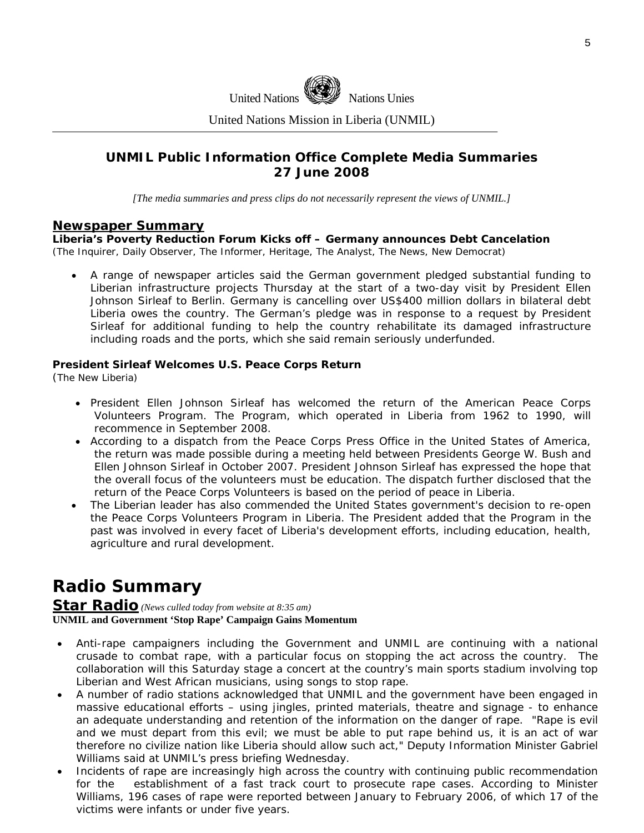

United Nations Mission in Liberia (UNMIL)

### **UNMIL Public Information Office Complete Media Summaries 27 June 2008**

*[The media summaries and press clips do not necessarily represent the views of UNMIL.]* 

#### **Newspaper Summary**

**Liberia's Poverty Reduction Forum Kicks off – Germany announces Debt Cancelation** 

(*The Inquirer, Daily Observer, The Informer, Heritage, The Analyst, The News, New Democrat)* 

• A range of newspaper articles said the German government pledged substantial funding to Liberian infrastructure projects Thursday at the start of a two-day visit by President Ellen Johnson Sirleaf to Berlin. Germany is cancelling over US\$400 million dollars in bilateral debt Liberia owes the country. The German's pledge was in response to a request by President Sirleaf for additional funding to help the country rehabilitate its damaged infrastructure including roads and the ports, which she said remain seriously underfunded.

#### **President Sirleaf Welcomes U.S. Peace Corps Return**

(The New Liberia)

- President Ellen Johnson Sirleaf has welcomed the return of the American Peace Corps Volunteers Program. The Program, which operated in Liberia from 1962 to 1990, will recommence in September 2008.
- According to a dispatch from the Peace Corps Press Office in the United States of America, the return was made possible during a meeting held between Presidents George W. Bush and Ellen Johnson Sirleaf in October 2007. President Johnson Sirleaf has expressed the hope that the overall focus of the volunteers must be education. The dispatch further disclosed that the return of the Peace Corps Volunteers is based on the period of peace in Liberia.
- The Liberian leader has also commended the United States government's decision to re-open the Peace Corps Volunteers Program in Liberia. The President added that the Program in the past was involved in every facet of Liberia's development efforts, including education, health, agriculture and rural development.

## **Radio Summary**

#### **Star Radio** *(News culled today from website at 8:35 am)*  **UNMIL and Government 'Stop Rape' Campaign Gains Momentum**

- Anti-rape campaigners including the Government and UNMIL are continuing with a national crusade to combat rape, with a particular focus on stopping the act across the country. The collaboration will this Saturday stage a concert at the country's main sports stadium involving top Liberian and West African musicians, using songs to stop rape.
- A number of radio stations acknowledged that UNMIL and the government have been engaged in massive educational efforts – using jingles, printed materials, theatre and signage - to enhance an adequate understanding and retention of the information on the danger of rape. "Rape is evil and we must depart from this evil; we must be able to put rape behind us, it is an act of war therefore no civilize nation like Liberia should allow such act," Deputy Information Minister Gabriel Williams said at UNMIL's press briefing Wednesday.
- Incidents of rape are increasingly high across the country with continuing public recommendation for the establishment of a fast track court to prosecute rape cases. According to Minister Williams, 196 cases of rape were reported between January to February 2006, of which 17 of the victims were infants or under five years.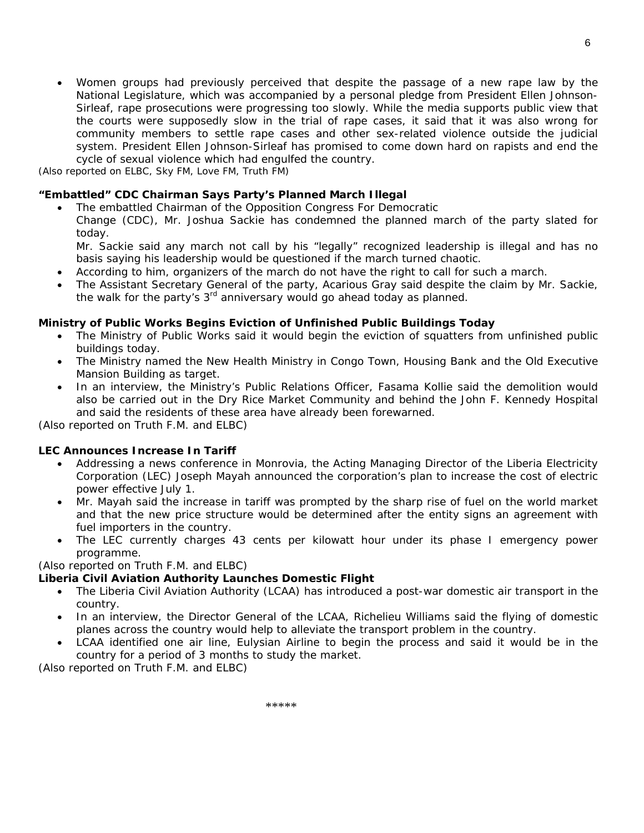• Women groups had previously perceived that despite the passage of a new rape law by the National Legislature, which was accompanied by a personal pledge from President Ellen Johnson-Sirleaf, rape prosecutions were progressing too slowly. While the media supports public view that the courts were supposedly slow in the trial of rape cases, it said that it was also wrong for community members to settle rape cases and other sex-related violence outside the judicial system. President Ellen Johnson-Sirleaf has promised to come down hard on rapists and end the cycle of sexual violence which had engulfed the country.

*(Also reported on ELBC, Sky FM, Love FM, Truth FM)* 

#### **"Embattled" CDC Chairman Says Party's Planned March Illegal**

• The embattled Chairman of the Opposition Congress For Democratic Change (CDC), Mr. Joshua Sackie has condemned the planned march of the party slated for today.

Mr. Sackie said any march not call by his "legally" recognized leadership is illegal and has no basis saying his leadership would be questioned if the march turned chaotic.

- According to him, organizers of the march do not have the right to call for such a march.
- The Assistant Secretary General of the party, Acarious Gray said despite the claim by Mr. Sackie, the walk for the party's 3<sup>rd</sup> anniversary would go ahead today as planned.

#### **Ministry of Public Works Begins Eviction of Unfinished Public Buildings Today**

- The Ministry of Public Works said it would begin the eviction of squatters from unfinished public buildings today.
- The Ministry named the New Health Ministry in Congo Town, Housing Bank and the Old Executive Mansion Building as target.
- In an interview, the Ministry's Public Relations Officer, Fasama Kollie said the demolition would also be carried out in the Dry Rice Market Community and behind the John F. Kennedy Hospital and said the residents of these area have already been forewarned.

*(Also reported on Truth F.M. and ELBC)* 

#### **LEC Announces Increase In Tariff**

- Addressing a news conference in Monrovia, the Acting Managing Director of the Liberia Electricity Corporation (LEC) Joseph Mayah announced the corporation's plan to increase the cost of electric power effective July 1.
- Mr. Mayah said the increase in tariff was prompted by the sharp rise of fuel on the world market and that the new price structure would be determined after the entity signs an agreement with fuel importers in the country.
- The LEC currently charges 43 cents per kilowatt hour under its phase I emergency power programme.

#### *(Also reported on Truth F.M. and ELBC)*

#### **Liberia Civil Aviation Authority Launches Domestic Flight**

- The Liberia Civil Aviation Authority (LCAA) has introduced a post-war domestic air transport in the country.
- In an interview, the Director General of the LCAA, Richelieu Williams said the flying of domestic planes across the country would help to alleviate the transport problem in the country.
- LCAA identified one air line, Eulysian Airline to begin the process and said it would be in the country for a period of 3 months to study the market.

*(Also reported on Truth F.M. and ELBC)*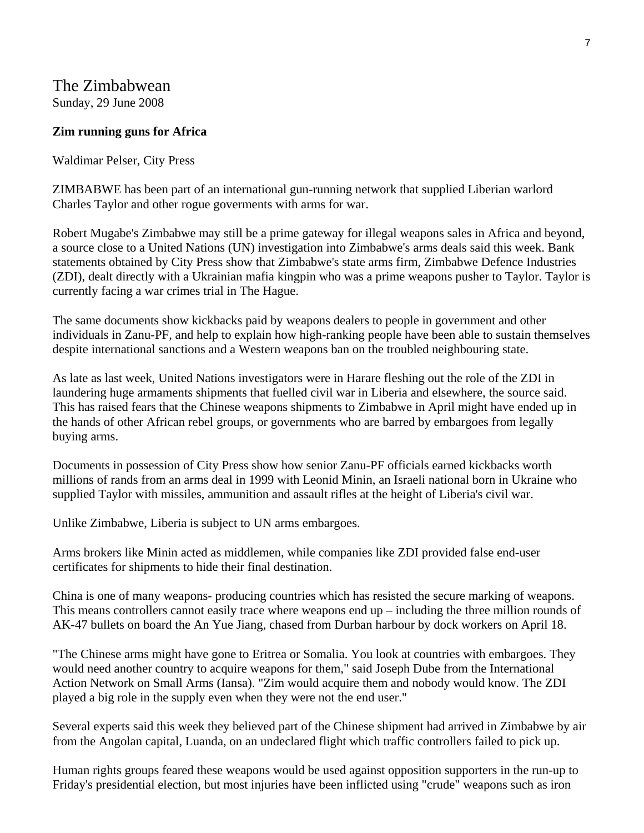## The Zimbabwean

Sunday, 29 June 2008

### **Zim running guns for Africa**

Waldimar Pelser, City Press

ZIMBABWE has been part of an international gun-running network that supplied Liberian warlord Charles Taylor and other rogue goverments with arms for war.

Robert Mugabe's Zimbabwe may still be a prime gateway for illegal weapons sales in Africa and beyond, a source close to a United Nations (UN) investigation into Zimbabwe's arms deals said this week. Bank statements obtained by City Press show that Zimbabwe's state arms firm, Zimbabwe Defence Industries (ZDI), dealt directly with a Ukrainian mafia kingpin who was a prime weapons pusher to Taylor. Taylor is currently facing a war crimes trial in The Hague.

The same documents show kickbacks paid by weapons dealers to people in government and other individuals in Zanu-PF, and help to explain how high-ranking people have been able to sustain themselves despite international sanctions and a Western weapons ban on the troubled neighbouring state.

As late as last week, United Nations investigators were in Harare fleshing out the role of the ZDI in laundering huge armaments shipments that fuelled civil war in Liberia and elsewhere, the source said. This has raised fears that the Chinese weapons shipments to Zimbabwe in April might have ended up in the hands of other African rebel groups, or governments who are barred by embargoes from legally buying arms.

Documents in possession of City Press show how senior Zanu-PF officials earned kickbacks worth millions of rands from an arms deal in 1999 with Leonid Minin, an Israeli national born in Ukraine who supplied Taylor with missiles, ammunition and assault rifles at the height of Liberia's civil war.

Unlike Zimbabwe, Liberia is subject to UN arms embargoes.

Arms brokers like Minin acted as middlemen, while companies like ZDI provided false end-user certificates for shipments to hide their final destination.

China is one of many weapons- producing countries which has resisted the secure marking of weapons. This means controllers cannot easily trace where weapons end up – including the three million rounds of AK-47 bullets on board the An Yue Jiang, chased from Durban harbour by dock workers on April 18.

"The Chinese arms might have gone to Eritrea or Somalia. You look at countries with embargoes. They would need another country to acquire weapons for them," said Joseph Dube from the International Action Network on Small Arms (Iansa). "Zim would acquire them and nobody would know. The ZDI played a big role in the supply even when they were not the end user."

Several experts said this week they believed part of the Chinese shipment had arrived in Zimbabwe by air from the Angolan capital, Luanda, on an undeclared flight which traffic controllers failed to pick up.

Human rights groups feared these weapons would be used against opposition supporters in the run-up to Friday's presidential election, but most injuries have been inflicted using "crude" weapons such as iron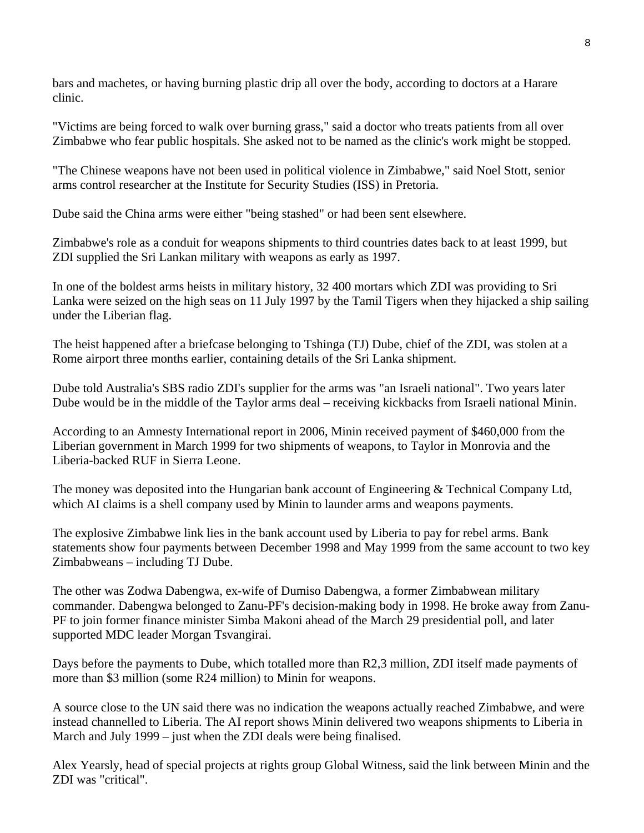bars and machetes, or having burning plastic drip all over the body, according to doctors at a Harare clinic.

"Victims are being forced to walk over burning grass," said a doctor who treats patients from all over Zimbabwe who fear public hospitals. She asked not to be named as the clinic's work might be stopped.

"The Chinese weapons have not been used in political violence in Zimbabwe," said Noel Stott, senior arms control researcher at the Institute for Security Studies (ISS) in Pretoria.

Dube said the China arms were either "being stashed" or had been sent elsewhere.

Zimbabwe's role as a conduit for weapons shipments to third countries dates back to at least 1999, but ZDI supplied the Sri Lankan military with weapons as early as 1997.

In one of the boldest arms heists in military history, 32 400 mortars which ZDI was providing to Sri Lanka were seized on the high seas on 11 July 1997 by the Tamil Tigers when they hijacked a ship sailing under the Liberian flag.

The heist happened after a briefcase belonging to Tshinga (TJ) Dube, chief of the ZDI, was stolen at a Rome airport three months earlier, containing details of the Sri Lanka shipment.

Dube told Australia's SBS radio ZDI's supplier for the arms was "an Israeli national". Two years later Dube would be in the middle of the Taylor arms deal – receiving kickbacks from Israeli national Minin.

According to an Amnesty International report in 2006, Minin received payment of \$460,000 from the Liberian government in March 1999 for two shipments of weapons, to Taylor in Monrovia and the Liberia-backed RUF in Sierra Leone.

The money was deposited into the Hungarian bank account of Engineering & Technical Company Ltd, which AI claims is a shell company used by Minin to launder arms and weapons payments.

The explosive Zimbabwe link lies in the bank account used by Liberia to pay for rebel arms. Bank statements show four payments between December 1998 and May 1999 from the same account to two key Zimbabweans – including TJ Dube.

The other was Zodwa Dabengwa, ex-wife of Dumiso Dabengwa, a former Zimbabwean military commander. Dabengwa belonged to Zanu-PF's decision-making body in 1998. He broke away from Zanu-PF to join former finance minister Simba Makoni ahead of the March 29 presidential poll, and later supported MDC leader Morgan Tsvangirai.

Days before the payments to Dube, which totalled more than R2,3 million, ZDI itself made payments of more than \$3 million (some R24 million) to Minin for weapons.

A source close to the UN said there was no indication the weapons actually reached Zimbabwe, and were instead channelled to Liberia. The AI report shows Minin delivered two weapons shipments to Liberia in March and July 1999 – just when the ZDI deals were being finalised.

Alex Yearsly, head of special projects at rights group Global Witness, said the link between Minin and the ZDI was "critical".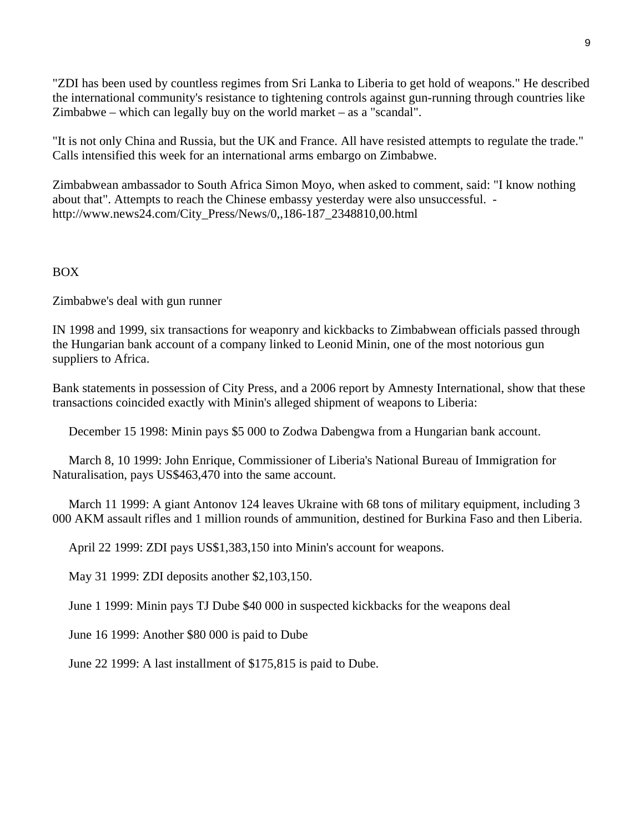"ZDI has been used by countless regimes from Sri Lanka to Liberia to get hold of weapons." He described the international community's resistance to tightening controls against gun-running through countries like Zimbabwe – which can legally buy on the world market – as a "scandal".

"It is not only China and Russia, but the UK and France. All have resisted attempts to regulate the trade." Calls intensified this week for an international arms embargo on Zimbabwe.

Zimbabwean ambassador to South Africa Simon Moyo, when asked to comment, said: "I know nothing about that". Attempts to reach the Chinese embassy yesterday were also unsuccessful. http://www.news24.com/City\_Press/News/0,,186-187\_2348810,00.html

#### BOX

Zimbabwe's deal with gun runner

IN 1998 and 1999, six transactions for weaponry and kickbacks to Zimbabwean officials passed through the Hungarian bank account of a company linked to Leonid Minin, one of the most notorious gun suppliers to Africa.

Bank statements in possession of City Press, and a 2006 report by Amnesty International, show that these transactions coincided exactly with Minin's alleged shipment of weapons to Liberia:

December 15 1998: Minin pays \$5 000 to Zodwa Dabengwa from a Hungarian bank account.

 March 8, 10 1999: John Enrique, Commissioner of Liberia's National Bureau of Immigration for Naturalisation, pays US\$463,470 into the same account.

 March 11 1999: A giant Antonov 124 leaves Ukraine with 68 tons of military equipment, including 3 000 AKM assault rifles and 1 million rounds of ammunition, destined for Burkina Faso and then Liberia.

April 22 1999: ZDI pays US\$1,383,150 into Minin's account for weapons.

May 31 1999: ZDI deposits another \$2,103,150.

June 1 1999: Minin pays TJ Dube \$40 000 in suspected kickbacks for the weapons deal

June 16 1999: Another \$80 000 is paid to Dube

June 22 1999: A last installment of \$175,815 is paid to Dube.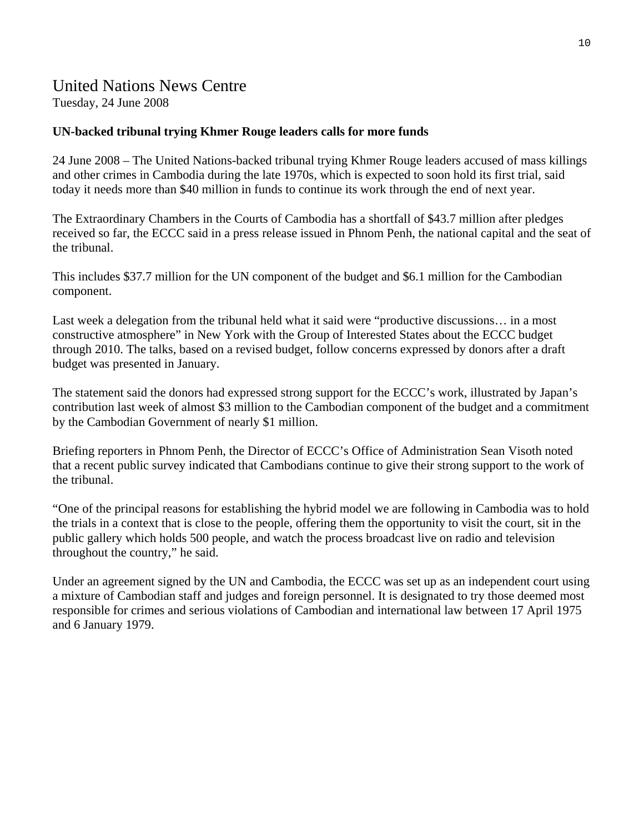## United Nations News Centre

Tuesday, 24 June 2008

## **UN-backed tribunal trying Khmer Rouge leaders calls for more funds**

24 June 2008 – The United Nations-backed tribunal trying Khmer Rouge leaders accused of mass killings and other crimes in Cambodia during the late 1970s, which is expected to soon hold its first trial, said today it needs more than \$40 million in funds to continue its work through the end of next year.

The Extraordinary Chambers in the Courts of Cambodia has a shortfall of \$43.7 million after pledges received so far, the ECCC said in a press release issued in Phnom Penh, the national capital and the seat of the tribunal.

This includes \$37.7 million for the UN component of the budget and \$6.1 million for the Cambodian component.

Last week a delegation from the tribunal held what it said were "productive discussions… in a most constructive atmosphere" in New York with the Group of Interested States about the ECCC budget through 2010. The talks, based on a revised budget, follow concerns expressed by donors after a draft budget was presented in January.

The statement said the donors had expressed strong support for the ECCC's work, illustrated by Japan's contribution last week of almost \$3 million to the Cambodian component of the budget and a commitment by the Cambodian Government of nearly \$1 million.

Briefing reporters in Phnom Penh, the Director of ECCC's Office of Administration Sean Visoth noted that a recent public survey indicated that Cambodians continue to give their strong support to the work of the tribunal.

"One of the principal reasons for establishing the hybrid model we are following in Cambodia was to hold the trials in a context that is close to the people, offering them the opportunity to visit the court, sit in the public gallery which holds 500 people, and watch the process broadcast live on radio and television throughout the country," he said.

Under an agreement signed by the UN and Cambodia, the ECCC was set up as an independent court using a mixture of Cambodian staff and judges and foreign personnel. It is designated to try those deemed most responsible for crimes and serious violations of Cambodian and international law between 17 April 1975 and 6 January 1979.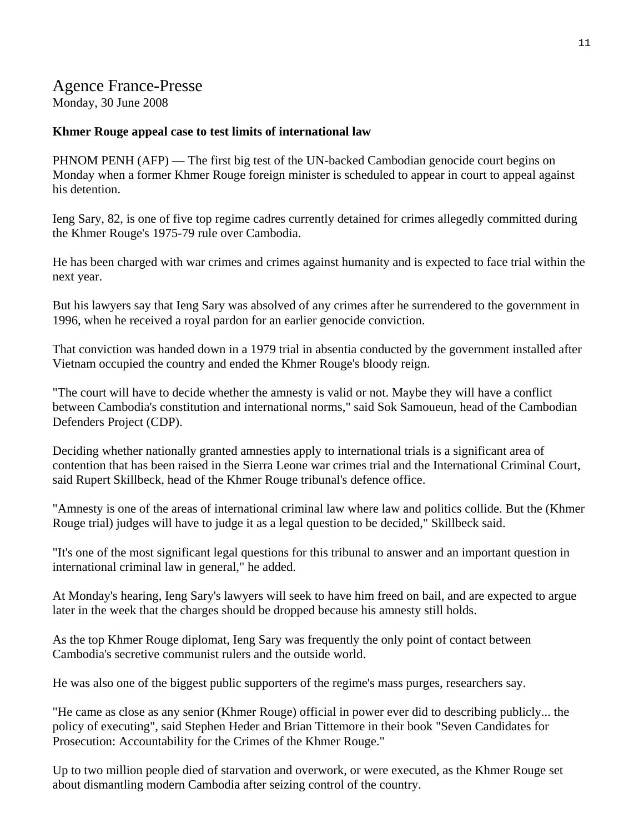## Agence France-Presse

Monday, 30 June 2008

### **Khmer Rouge appeal case to test limits of international law**

PHNOM PENH (AFP) — The first big test of the UN-backed Cambodian genocide court begins on Monday when a former Khmer Rouge foreign minister is scheduled to appear in court to appeal against his detention.

Ieng Sary, 82, is one of five top regime cadres currently detained for crimes allegedly committed during the Khmer Rouge's 1975-79 rule over Cambodia.

He has been charged with war crimes and crimes against humanity and is expected to face trial within the next year.

But his lawyers say that Ieng Sary was absolved of any crimes after he surrendered to the government in 1996, when he received a royal pardon for an earlier genocide conviction.

That conviction was handed down in a 1979 trial in absentia conducted by the government installed after Vietnam occupied the country and ended the Khmer Rouge's bloody reign.

"The court will have to decide whether the amnesty is valid or not. Maybe they will have a conflict between Cambodia's constitution and international norms," said Sok Samoueun, head of the Cambodian Defenders Project (CDP).

Deciding whether nationally granted amnesties apply to international trials is a significant area of contention that has been raised in the Sierra Leone war crimes trial and the International Criminal Court, said Rupert Skillbeck, head of the Khmer Rouge tribunal's defence office.

"Amnesty is one of the areas of international criminal law where law and politics collide. But the (Khmer Rouge trial) judges will have to judge it as a legal question to be decided," Skillbeck said.

"It's one of the most significant legal questions for this tribunal to answer and an important question in international criminal law in general," he added.

At Monday's hearing, Ieng Sary's lawyers will seek to have him freed on bail, and are expected to argue later in the week that the charges should be dropped because his amnesty still holds.

As the top Khmer Rouge diplomat, Ieng Sary was frequently the only point of contact between Cambodia's secretive communist rulers and the outside world.

He was also one of the biggest public supporters of the regime's mass purges, researchers say.

"He came as close as any senior (Khmer Rouge) official in power ever did to describing publicly... the policy of executing", said Stephen Heder and Brian Tittemore in their book "Seven Candidates for Prosecution: Accountability for the Crimes of the Khmer Rouge."

Up to two million people died of starvation and overwork, or were executed, as the Khmer Rouge set about dismantling modern Cambodia after seizing control of the country.